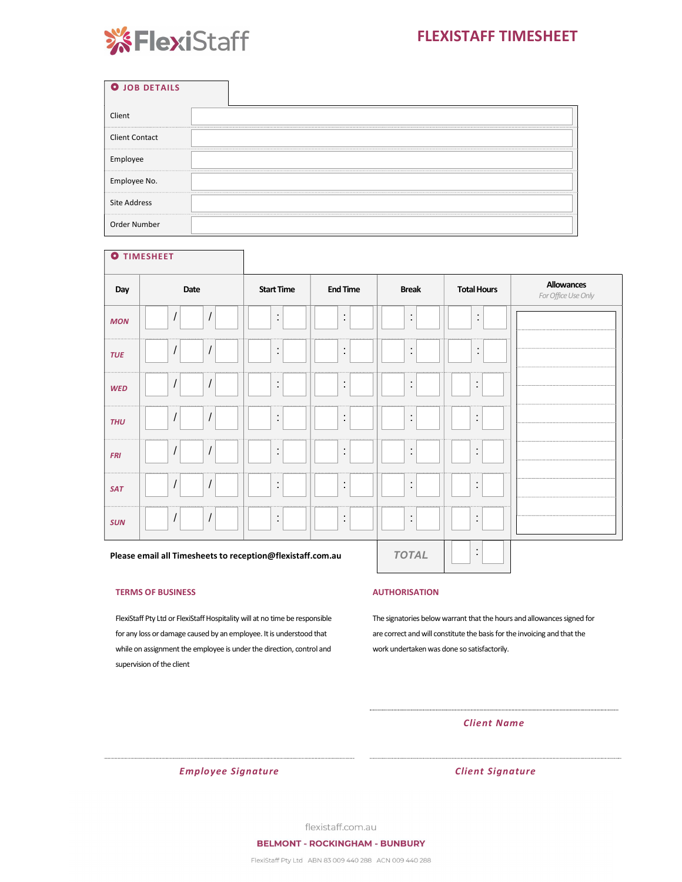# FLEXISTAFF TIMESHEET



| <b>O</b> JOB DETAILS  |  |
|-----------------------|--|
| Client                |  |
| <b>Client Contact</b> |  |
| Employee              |  |
| Employee No.          |  |
| <b>Site Address</b>   |  |
| Order Number          |  |

|            | <b>O</b> TIMESHEET                                         |                   |                 |                      |                    |                                          |
|------------|------------------------------------------------------------|-------------------|-----------------|----------------------|--------------------|------------------------------------------|
| Day        | Date                                                       | <b>Start Time</b> | <b>End Time</b> | <b>Break</b>         | <b>Total Hours</b> | <b>Allowances</b><br>For Office Use Only |
| <b>MON</b> | $\cal I$<br>$\cal I$                                       | ÷                 | $\ddot{\cdot}$  | $\ddot{\phantom{a}}$ | ÷                  |                                          |
| <b>TUE</b> | $\cal I$<br>$\cal I$                                       | ÷                 | $\ddot{\cdot}$  | $\ddot{\cdot}$       | ÷                  |                                          |
| <b>WED</b> | $\cal I$<br>$\cal I$                                       | İ,                | $\ddot{.}$      | $\ddot{\cdot}$       | $\ddot{\cdot}$     |                                          |
| <b>THU</b> | $\cal I$<br>$\cal I$                                       | İ,                | $\ddot{\cdot}$  | $\ddot{\cdot}$       | $\ddot{\cdot}$     |                                          |
| <b>FRI</b> | $\cal I$<br>$\cal I$                                       | ÷                 | $\ddot{\cdot}$  | $\ddot{\cdot}$       | $\ddot{\cdot}$     |                                          |
| <b>SAT</b> | $\cal I$<br>$\cal I$                                       | İ,                | $\ddot{\cdot}$  | $\ddot{\cdot}$       | $\ddot{\cdot}$     |                                          |
| <b>SUN</b> | $\cal I$<br>$\cal I$                                       | İ,                | $\ddot{\cdot}$  | $\ddot{\cdot}$       | ÷                  |                                          |
|            | Please email all Timesheets to reception@flexistaff.com.au |                   | <b>TOTAL</b>    | $\cdot$<br>$\bullet$ |                    |                                          |

#### TERMS OF BUSINESS

FlexiStaff Pty Ltd or FlexiStaff Hospitality will at no time be responsible for any loss or damage caused by an employee. It is understood that while on assignment the employee is under the direction, control and supervision of the client

#### AUTHORISATION

The signatories below warrant that the hours and allowances signed for are correct and will constitute the basis for the invoicing and that the work undertaken was done so satisfactorily.

### Client Name

Employee Signature Client Signature

flexistaff.com.au

FlexiStaff Pty Ltd ABN 83 009 440 288 ACN 009 440 288